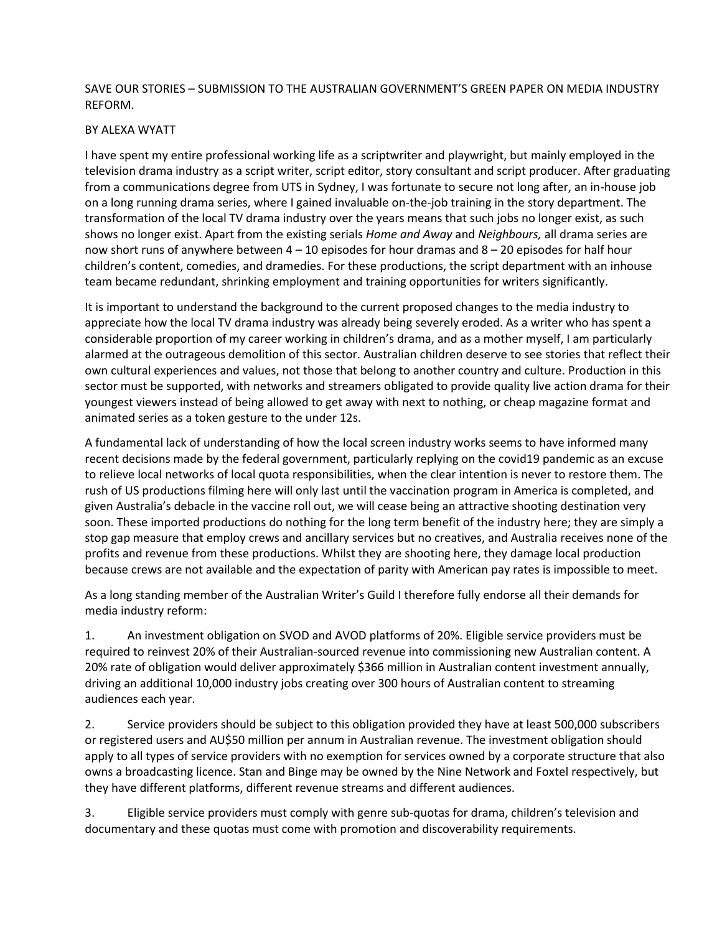## SAVE OUR STORIES – SUBMISSION TO THE AUSTRALIAN GOVERNMENT'S GREEN PAPER ON MEDIA INDUSTRY REFORM.

## BY ALEXA WYATT

I have spent my entire professional working life as a scriptwriter and playwright, but mainly employed in the television drama industry as a script writer, script editor, story consultant and script producer. After graduating from a communications degree from UTS in Sydney, I was fortunate to secure not long after, an in-house job on a long running drama series, where I gained invaluable on-the-job training in the story department. The transformation of the local TV drama industry over the years means that such jobs no longer exist, as such shows no longer exist. Apart from the existing serials *Home and Away* and *Neighbours,* all drama series are now short runs of anywhere between 4 – 10 episodes for hour dramas and 8 – 20 episodes for half hour children's content, comedies, and dramedies. For these productions, the script department with an inhouse team became redundant, shrinking employment and training opportunities for writers significantly.

It is important to understand the background to the current proposed changes to the media industry to appreciate how the local TV drama industry was already being severely eroded. As a writer who has spent a considerable proportion of my career working in children's drama, and as a mother myself, I am particularly alarmed at the outrageous demolition of this sector. Australian children deserve to see stories that reflect their own cultural experiences and values, not those that belong to another country and culture. Production in this sector must be supported, with networks and streamers obligated to provide quality live action drama for their youngest viewers instead of being allowed to get away with next to nothing, or cheap magazine format and animated series as a token gesture to the under 12s.

A fundamental lack of understanding of how the local screen industry works seems to have informed many recent decisions made by the federal government, particularly replying on the covid19 pandemic as an excuse to relieve local networks of local quota responsibilities, when the clear intention is never to restore them. The rush of US productions filming here will only last until the vaccination program in America is completed, and given Australia's debacle in the vaccine roll out, we will cease being an attractive shooting destination very soon. These imported productions do nothing for the long term benefit of the industry here; they are simply a stop gap measure that employ crews and ancillary services but no creatives, and Australia receives none of the profits and revenue from these productions. Whilst they are shooting here, they damage local production because crews are not available and the expectation of parity with American pay rates is impossible to meet.

As a long standing member of the Australian Writer's Guild I therefore fully endorse all their demands for media industry reform:

1. An investment obligation on SVOD and AVOD platforms of 20%. Eligible service providers must be required to reinvest 20% of their Australian-sourced revenue into commissioning new Australian content. A 20% rate of obligation would deliver approximately \$366 million in Australian content investment annually, driving an additional 10,000 industry jobs creating over 300 hours of Australian content to streaming audiences each year.

2. Service providers should be subject to this obligation provided they have at least 500,000 subscribers or registered users and AU\$50 million per annum in Australian revenue. The investment obligation should apply to all types of service providers with no exemption for services owned by a corporate structure that also owns a broadcasting licence. Stan and Binge may be owned by the Nine Network and Foxtel respectively, but they have different platforms, different revenue streams and different audiences.

3. Eligible service providers must comply with genre sub-quotas for drama, children's television and documentary and these quotas must come with promotion and discoverability requirements.